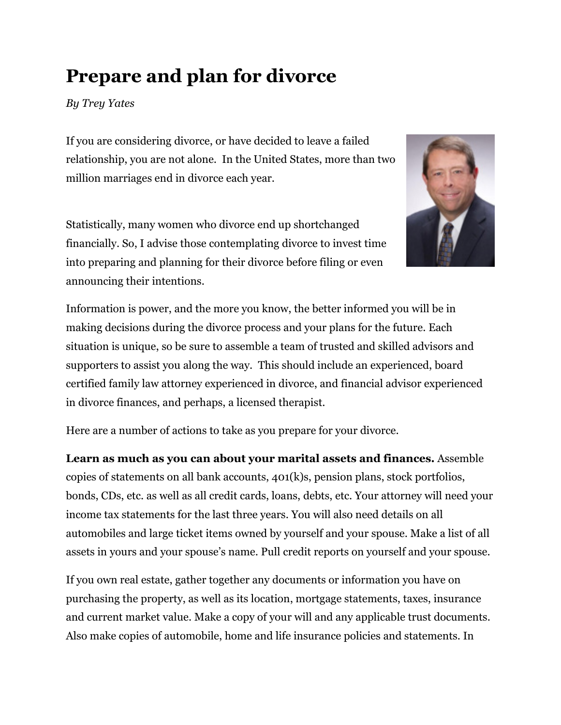# **Prepare and plan for divorce**

*By Trey Yates* 

If you are considering divorce, or have decided to leave a failed relationship, you are not alone. In the United States, more than two million marriages end in divorce each year.

Statistically, many women who divorce end up shortchanged financially. So, I advise those contemplating divorce to invest time into preparing and planning for their divorce before filing or even announcing their intentions.



Information is power, and the more you know, the better informed you will be in making decisions during the divorce process and your plans for the future. Each situation is unique, so be sure to assemble a team of trusted and skilled advisors and supporters to assist you along the way. This should include an experienced, board certified family law attorney experienced in divorce, and financial advisor experienced in divorce finances, and perhaps, a licensed therapist.

Here are a number of actions to take as you prepare for your divorce.

**Learn as much as you can about your marital assets and finances.** Assemble copies of statements on all bank accounts, 401(k)s, pension plans, stock portfolios, bonds, CDs, etc. as well as all credit cards, loans, debts, etc. Your attorney will need your income tax statements for the last three years. You will also need details on all automobiles and large ticket items owned by yourself and your spouse. Make a list of all assets in yours and your spouse's name. Pull credit reports on yourself and your spouse.

If you own real estate, gather together any documents or information you have on purchasing the property, as well as its location, mortgage statements, taxes, insurance and current market value. Make a copy of your will and any applicable trust documents. Also make copies of automobile, home and life insurance policies and statements. In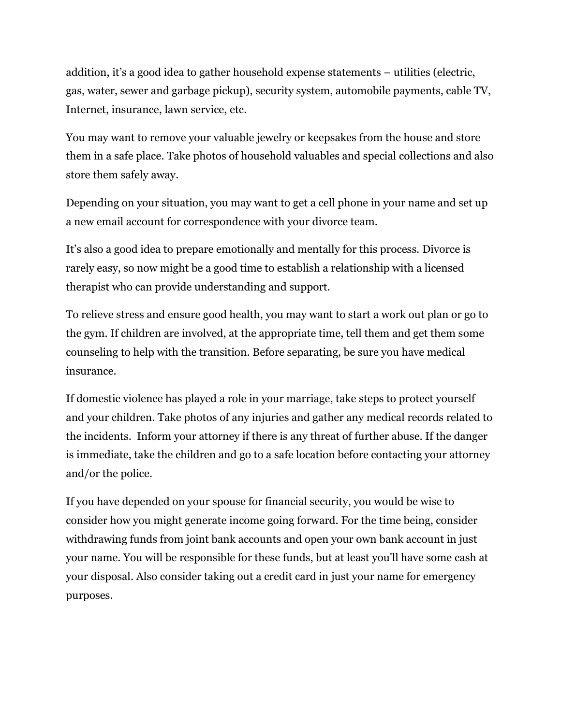addition, it's a good idea to gather household expense statements – utilities (electric, gas, water, sewer and garbage pickup), security system, automobile payments, cable TV, Internet, insurance, lawn service, etc.

You may want to remove your valuable jewelry or keepsakes from the house and store them in a safe place. Take photos of household valuables and special collections and also store them safely away.

Depending on your situation, you may want to get a cell phone in your name and set up a new email account for correspondence with your divorce team.

It's also a good idea to prepare emotionally and mentally for this process. Divorce is rarely easy, so now might be a good time to establish a relationship with a licensed therapist who can provide understanding and support.

To relieve stress and ensure good health, you may want to start a work out plan or go to the gym. If children are involved, at the appropriate time, tell them and get them some counseling to help with the transition. Before separating, be sure you have medical insurance.

If domestic violence has played a role in your marriage, take steps to protect yourself and your children. Take photos of any injuries and gather any medical records related to the incidents. Inform your attorney if there is any threat of further abuse. If the danger is immediate, take the children and go to a safe location before contacting your attorney and/or the police.

If you have depended on your spouse for financial security, you would be wise to consider how you might generate income going forward. For the time being, consider withdrawing funds from joint bank accounts and open your own bank account in just your name. You will be responsible for these funds, but at least you'll have some cash at your disposal. Also consider taking out a credit card in just your name for emergency purposes.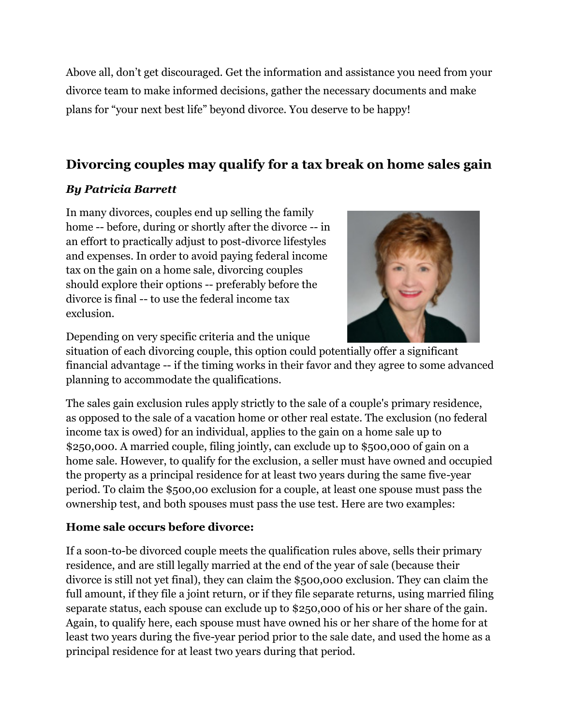Above all, don't get discouraged. Get the information and assistance you need from your divorce team to make informed decisions, gather the necessary documents and make plans for "your next best life" beyond divorce. You deserve to be happy!

## **Divorcing couples may qualify for a tax break on home sales gain**

### *By Patricia Barrett*

In many divorces, couples end up selling the family home -- before, during or shortly after the divorce -- in an effort to practically adjust to post-divorce lifestyles and expenses. In order to avoid paying federal income tax on the gain on a home sale, divorcing couples should explore their options -- preferably before the divorce is final -- to use the federal income tax exclusion.



Depending on very specific criteria and the unique

situation of each divorcing couple, this option could potentially offer a significant financial advantage -- if the timing works in their favor and they agree to some advanced planning to accommodate the qualifications.

The sales gain exclusion rules apply strictly to the sale of a couple's primary residence, as opposed to the sale of a vacation home or other real estate. The exclusion (no federal income tax is owed) for an individual, applies to the gain on a home sale up to \$250,000. A married couple, filing jointly, can exclude up to \$500,000 of gain on a home sale. However, to qualify for the exclusion, a seller must have owned and occupied the property as a principal residence for at least two years during the same five-year period. To claim the \$500,00 exclusion for a couple, at least one spouse must pass the ownership test, and both spouses must pass the use test. Here are two examples:

### **Home sale occurs before divorce:**

If a soon-to-be divorced couple meets the qualification rules above, sells their primary residence, and are still legally married at the end of the year of sale (because their divorce is still not yet final), they can claim the \$500,000 exclusion. They can claim the full amount, if they file a joint return, or if they file separate returns, using married filing separate status, each spouse can exclude up to \$250,000 of his or her share of the gain. Again, to qualify here, each spouse must have owned his or her share of the home for at least two years during the five-year period prior to the sale date, and used the home as a principal residence for at least two years during that period.